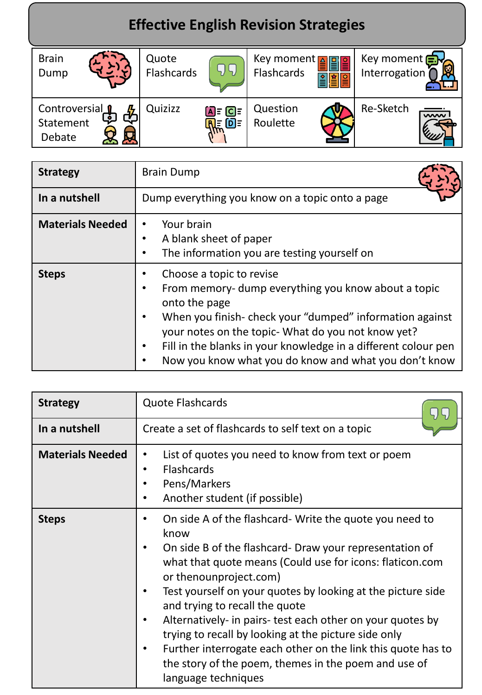## **Effective English Revision Strategies**

| <b>Brain</b><br>Dump                                     | Quote<br>Flashcards |                                                   | Key moment [<br>Flashcards | A 말 이 그리고 아<br>회의 | Key moment <b>Ely</b><br>Interrogation |                         |
|----------------------------------------------------------|---------------------|---------------------------------------------------|----------------------------|-------------------|----------------------------------------|-------------------------|
| Controversial<br>$\ddot{\bullet}$<br>Statement<br>Debate | Quizizz             | $\overline{A}$ = $\overline{C}$ =<br><b>RE OF</b> | Question<br>Roulette       |                   | Re-Sketch                              | $\overline{\mathsf{w}}$ |

| <b>Strategy</b>         | <b>Brain Dump</b>                                                                                                                                                                                                                                                                                                                                                                  |  |
|-------------------------|------------------------------------------------------------------------------------------------------------------------------------------------------------------------------------------------------------------------------------------------------------------------------------------------------------------------------------------------------------------------------------|--|
| In a nutshell           | Dump everything you know on a topic onto a page                                                                                                                                                                                                                                                                                                                                    |  |
| <b>Materials Needed</b> | Your brain<br>$\bullet$<br>A blank sheet of paper<br>٠<br>The information you are testing yourself on<br>٠                                                                                                                                                                                                                                                                         |  |
| <b>Steps</b>            | Choose a topic to revise<br>From memory-dump everything you know about a topic<br>$\bullet$<br>onto the page<br>When you finish-check your "dumped" information against<br>$\bullet$<br>your notes on the topic- What do you not know yet?<br>Fill in the blanks in your knowledge in a different colour pen<br>$\bullet$<br>Now you know what you do know and what you don't know |  |

| <b>Strategy</b>         | <b>Quote Flashcards</b>                                                                                                                                                                                                                                                                                                                                                                                                                                                                                                                                                                                    |
|-------------------------|------------------------------------------------------------------------------------------------------------------------------------------------------------------------------------------------------------------------------------------------------------------------------------------------------------------------------------------------------------------------------------------------------------------------------------------------------------------------------------------------------------------------------------------------------------------------------------------------------------|
| In a nutshell           | Create a set of flashcards to self text on a topic                                                                                                                                                                                                                                                                                                                                                                                                                                                                                                                                                         |
| <b>Materials Needed</b> | List of quotes you need to know from text or poem<br>$\bullet$<br><b>Flashcards</b><br>٠<br>Pens/Markers<br>Another student (if possible)                                                                                                                                                                                                                                                                                                                                                                                                                                                                  |
| <b>Steps</b>            | On side A of the flashcard- Write the quote you need to<br>٠<br>know<br>On side B of the flashcard- Draw your representation of<br>٠<br>what that quote means (Could use for icons: flaticon.com<br>or thenounproject.com)<br>Test yourself on your quotes by looking at the picture side<br>and trying to recall the quote<br>Alternatively- in pairs- test each other on your quotes by<br>٠<br>trying to recall by looking at the picture side only<br>Further interrogate each other on the link this quote has to<br>٠<br>the story of the poem, themes in the poem and use of<br>language techniques |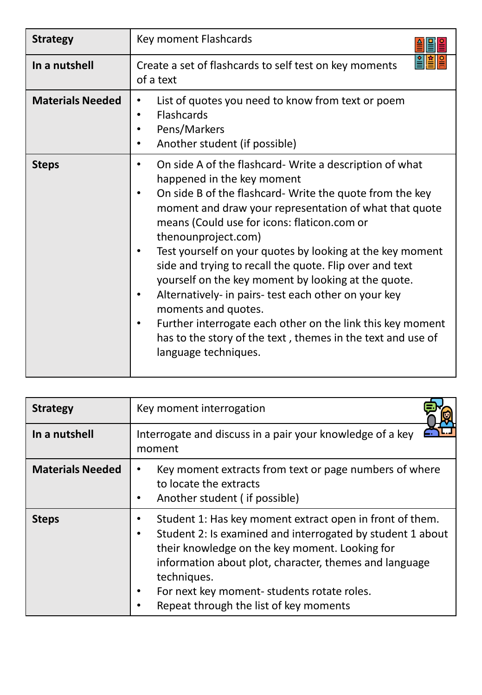| <b>Strategy</b>         | Key moment Flashcards                                                                                                                                                                                                                                                                                                                                                                                                                                                                                                                                                                                                                                                                                   |
|-------------------------|---------------------------------------------------------------------------------------------------------------------------------------------------------------------------------------------------------------------------------------------------------------------------------------------------------------------------------------------------------------------------------------------------------------------------------------------------------------------------------------------------------------------------------------------------------------------------------------------------------------------------------------------------------------------------------------------------------|
| In a nutshell           | Create a set of flashcards to self test on key moments<br>of a text                                                                                                                                                                                                                                                                                                                                                                                                                                                                                                                                                                                                                                     |
| <b>Materials Needed</b> | List of quotes you need to know from text or poem<br>Flashcards<br>$\bullet$<br>Pens/Markers<br>Another student (if possible)                                                                                                                                                                                                                                                                                                                                                                                                                                                                                                                                                                           |
| <b>Steps</b>            | On side A of the flashcard-Write a description of what<br>happened in the key moment<br>On side B of the flashcard-Write the quote from the key<br>٠<br>moment and draw your representation of what that quote<br>means (Could use for icons: flaticon.com or<br>thenounproject.com)<br>Test yourself on your quotes by looking at the key moment<br>side and trying to recall the quote. Flip over and text<br>yourself on the key moment by looking at the quote.<br>Alternatively- in pairs- test each other on your key<br>moments and quotes.<br>Further interrogate each other on the link this key moment<br>has to the story of the text, themes in the text and use of<br>language techniques. |

| <b>Strategy</b>         | Key moment interrogation                                                                                                                                                                                                                                                                                                                                    |
|-------------------------|-------------------------------------------------------------------------------------------------------------------------------------------------------------------------------------------------------------------------------------------------------------------------------------------------------------------------------------------------------------|
| In a nutshell           | Interrogate and discuss in a pair your knowledge of a key<br>moment                                                                                                                                                                                                                                                                                         |
| <b>Materials Needed</b> | Key moment extracts from text or page numbers of where<br>to locate the extracts<br>Another student (if possible)<br>٠                                                                                                                                                                                                                                      |
| <b>Steps</b>            | Student 1: Has key moment extract open in front of them.<br>٠<br>Student 2: Is examined and interrogated by student 1 about<br>$\bullet$<br>their knowledge on the key moment. Looking for<br>information about plot, character, themes and language<br>techniques.<br>For next key moment-students rotate roles.<br>Repeat through the list of key moments |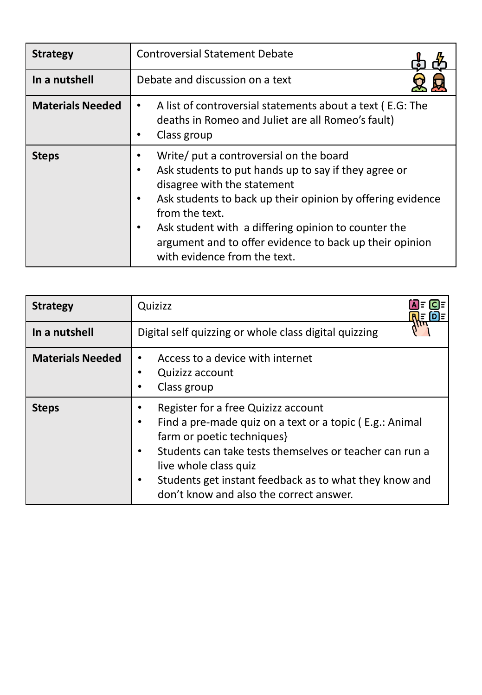| <b>Strategy</b>         | <b>Controversial Statement Debate</b>                                                                                                                                                                                                                                                                                                                                                                |  |  |
|-------------------------|------------------------------------------------------------------------------------------------------------------------------------------------------------------------------------------------------------------------------------------------------------------------------------------------------------------------------------------------------------------------------------------------------|--|--|
| In a nutshell           | Debate and discussion on a text                                                                                                                                                                                                                                                                                                                                                                      |  |  |
| <b>Materials Needed</b> | A list of controversial statements about a text (E.G: The<br>٠<br>deaths in Romeo and Juliet are all Romeo's fault)<br>Class group                                                                                                                                                                                                                                                                   |  |  |
| <b>Steps</b>            | Write/ put a controversial on the board<br>٠<br>Ask students to put hands up to say if they agree or<br>$\bullet$<br>disagree with the statement<br>Ask students to back up their opinion by offering evidence<br>$\bullet$<br>from the text.<br>Ask student with a differing opinion to counter the<br>٠<br>argument and to offer evidence to back up their opinion<br>with evidence from the text. |  |  |

| <b>Strategy</b>         | Quizizz<br>DE<br>╟╩                                                                                                                                                                                                                                                                                                   |
|-------------------------|-----------------------------------------------------------------------------------------------------------------------------------------------------------------------------------------------------------------------------------------------------------------------------------------------------------------------|
| In a nutshell           | Digital self quizzing or whole class digital quizzing                                                                                                                                                                                                                                                                 |
| <b>Materials Needed</b> | Access to a device with internet<br>Quizizz account<br>Class group                                                                                                                                                                                                                                                    |
| <b>Steps</b>            | Register for a free Quizizz account<br>Find a pre-made quiz on a text or a topic (E.g.: Animal<br>farm or poetic techniques}<br>Students can take tests themselves or teacher can run a<br>live whole class quiz<br>Students get instant feedback as to what they know and<br>don't know and also the correct answer. |